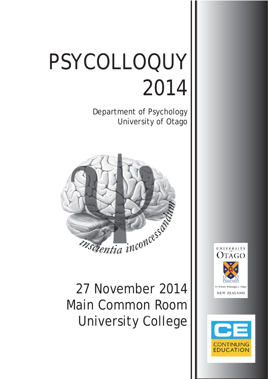# PSYCOLLOQUY 2014

Department of Psychology University of Otago



27 November 2014 Main Common Room University College



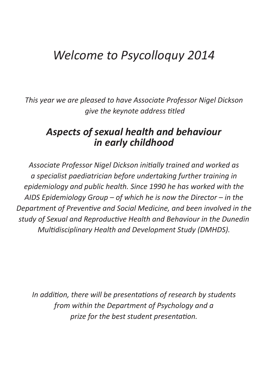# *Welcome to Psycolloquy 2014*

*This year we are pleased to have Associate Professor Nigel Dickson give the keynote address titled* 

### *Aspects of sexual health and behaviour in early childhood*

*Associate Professor Nigel Dickson iniƟ ally trained and worked as a specialist paediatrician before undertaking further training in epidemiology and public health. Since 1990 he has worked with the AIDS Epidemiology Group – of which he is now the Director – in the Department of Preventive and Social Medicine, and been involved in the study of Sexual and ReproducƟ ve Health and Behaviour in the Dunedin Multidisciplinary Health and Development Study (DMHDS).* 

*In addition, there will be presentations of research by students from within the Department of Psychology and a prize for the best student presentation.*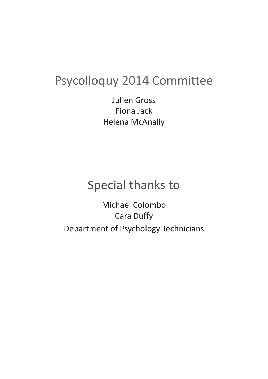# Psycolloquy 2014 Committee

Julien Gross Fiona Jack Helena McAnally

# Special thanks to

Michael Colombo **Cara Duffy** Department of Psychology Technicians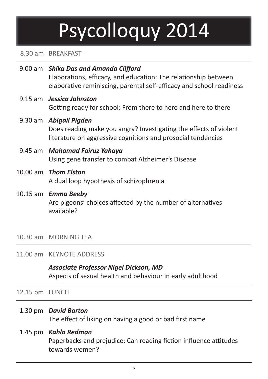# Psycolloquy 2014

#### 8.30 am BREAKFAST

| 9.00 am Shika Das and Amanda Clifford<br>Elaborations, efficacy, and education: The relationship between<br>elaborative reminiscing, parental self-efficacy and school readiness |
|----------------------------------------------------------------------------------------------------------------------------------------------------------------------------------|
| 9.15 am <b>Jessica Johnston</b><br>Getting ready for school: From there to here and here to there                                                                                |
| 9.30 am Abigail Pigden<br>Does reading make you angry? Investigating the effects of violent<br>literature on aggressive cognitions and prosocial tendencies                      |
| 9.45 am Mohamad Fairuz Yahaya<br>Using gene transfer to combat Alzheimer's Disease                                                                                               |
| 10.00 am Thom Elston<br>A dual loop hypothesis of schizophrenia                                                                                                                  |
| 10.15 am Emma Beeby<br>Are pigeons' choices affected by the number of alternatives<br>available?                                                                                 |

#### 10.30 am MORNING TEA

#### 11.00 am KEYNOTE ADDRESS

#### *Associate Professor Nigel Dickson, MD* Aspects of sexual health and behaviour in early adulthood

12.15 pm LUNCH

1.30 pm *David Barton*

The effect of liking on having a good or bad first name

#### 1.45 pm *Kahla Redman*

Paperbacks and prejudice: Can reading fiction influence attitudes towards women?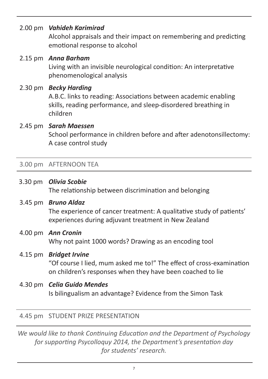#### 2.00 pm *Vahideh Karimirad*

Alcohol appraisals and their impact on remembering and predicting emotional response to alcohol

#### 2.15 pm *Anna Barham* Living with an invisible neurological condition: An interpretative phenomenological analysis

#### 2.30 pm *Becky Harding*

A.B.C. links to reading: Associations between academic enabling skills, reading performance, and sleep-disordered breathing in children

#### 2.45 pm *Sarah Maessen*

School performance in children before and after adenotonsillectomy: A case control study

#### 3.00 pm AFTERNOON TEA

 3.30 pm *Olivia Scobie* The relationship between discrimination and belonging

#### 3.45 pm *Bruno Aldaz* The experience of cancer treatment: A qualitative study of patients' experiences during adjuvant treatment in New Zealand

 4.00 pm *Ann Cronin* Why not paint 1000 words? Drawing as an encoding tool

#### 4.15 pm *Bridget Irvine*

"Of course I lied, mum asked me to!" The effect of cross-examination on children's responses when they have been coached to lie

 4.30 pm *Celia Guido Mendes* Is bilingualism an advantage? Evidence from the Simon Task

#### 4.45 pm STUDENT PRIZE PRESENTATION

*We would like to thank Continuing Education and the Department of Psychology for supporting Psycolloguy 2014, the Department's presentation day for students' research.*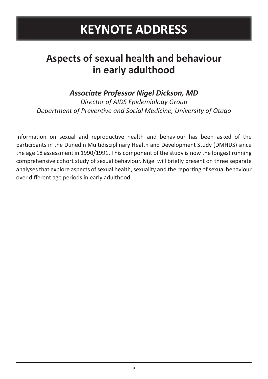# **KEYNOTE ADDRESS**

### **Aspects of sexual health and behaviour in early adulthood**

### *Associate Professor Nigel Dickson, MD*

*Director of AIDS Epidemiology Group* **Department of Preventive and Social Medicine, University of Otago** 

Information on sexual and reproductive health and behaviour has been asked of the participants in the Dunedin Multidisciplinary Health and Development Study (DMHDS) since the age 18 assessment in 1990/1991. This component of the study is now the longest running comprehensive cohort study of sexual behaviour. Nigel will briefly present on three separate analyses that explore aspects of sexual health, sexuality and the reporting of sexual behaviour over different age periods in early adulthood.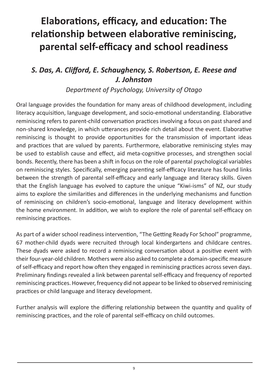# **Elaborations, efficacy, and education: The relationship between elaborative reminiscing, parental self-effi cacy and school readiness**

### *S. Das, A. Cliff ord, E. Schaughency, S. Robertson, E. Reese and J. Johnston*

*Department of Psychology, University of Otago*

Oral language provides the foundation for many areas of childhood development, including literacy acquisition, language development, and socio-emotional understanding. Elaborative reminiscing refers to parent-child conversation practices involving a focus on past shared and non-shared knowledge, in which utterances provide rich detail about the event. Elaborative reminiscing is thought to provide opportunities for the transmission of important ideas and practices that are valued by parents. Furthermore, elaborative reminiscing styles may be used to establish cause and effect, aid meta-cognitive processes, and strengthen social bonds. Recently, there has been a shift in focus on the role of parental psychological variables on reminiscing styles. Specifically, emerging parenting self-efficacy literature has found links between the strength of parental self-efficacy and early language and literacy skills. Given that the English language has evolved to capture the unique "Kiwi-isms" of NZ, our study aims to explore the similarities and differences in the underlying mechanisms and function of reminiscing on children's socio-emotional, language and literacy development within the home environment. In addition, we wish to explore the role of parental self-efficacy on reminiscing practices.

As part of a wider school readiness intervention, "The Getting Ready For School" programme, 67 mother-child dyads were recruited through local kindergartens and childcare centres. These dyads were asked to record a reminiscing conversation about a positive event with their four-year-old children. Mothers were also asked to complete a domain-specific measure of self-efficacy and report how often they engaged in reminiscing practices across seven days. Preliminary findings revealed a link between parental self-efficacy and frequency of reported reminiscing practices. However, frequency did not appear to be linked to observed reminiscing practices or child language and literacy development.

Further analysis will explore the differing relationship between the quantity and quality of reminiscing practices, and the role of parental self-efficacy on child outcomes.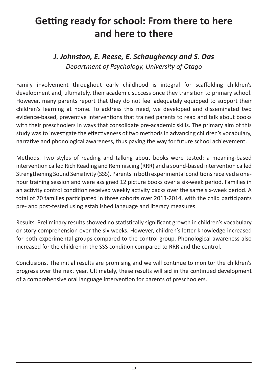### **Getting ready for school: From there to here and here to there**

### *J. Johnston, E. Reese, E. Schaughency and S. Das Department of Psychology, University of Otago*

Family involvement throughout early childhood is integral for scaffolding children's development and, ultimately, their academic success once they transition to primary school. However, many parents report that they do not feel adequately equipped to support their children's learning at home. To address this need, we developed and disseminated two evidence-based, preventive interventions that trained parents to read and talk about books with their preschoolers in ways that consolidate pre-academic skills. The primary aim of this study was to investigate the effectiveness of two methods in advancing children's vocabulary, narrative and phonological awareness, thus paving the way for future school achievement.

Methods. Two styles of reading and talking about books were tested: a meaning-based intervention called Rich Reading and Reminiscing (RRR) and a sound-based intervention called Strengthening Sound Sensitivity (SSS). Parents in both experimental conditions received a onehour training session and were assigned 12 picture books over a six-week period. Families in an activity control condition received weekly activity packs over the same six-week period. A total of 70 families participated in three cohorts over 2013-2014, with the child participants pre- and post-tested using established language and literacy measures.

Results. Preliminary results showed no statistically significant growth in children's vocabulary or story comprehension over the six weeks. However, children's letter knowledge increased for both experimental groups compared to the control group. Phonological awareness also increased for the children in the SSS condition compared to RRR and the control.

Conclusions. The initial results are promising and we will continue to monitor the children's progress over the next year. Ultimately, these results will aid in the continued development of a comprehensive oral language intervention for parents of preschoolers.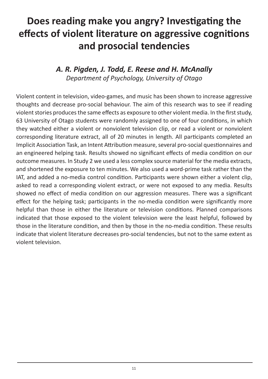# **Does reading make you angry? Investigating the effects of violent literature on aggressive cognitions and prosocial tendencies**

#### *A. R. Pigden, J. Todd, E. Reese and H. McAnally Department of Psychology, University of Otago*

Violent content in television, video-games, and music has been shown to increase aggressive thoughts and decrease pro-social behaviour. The aim of this research was to see if reading violent stories produces the same effects as exposure to other violent media. In the first study, 63 University of Otago students were randomly assigned to one of four conditions, in which they watched either a violent or nonviolent television clip, or read a violent or nonviolent corresponding literature extract, all of 20 minutes in length. All participants completed an Implicit Association Task, an Intent Attribution measure, several pro-social questionnaires and an engineered helping task. Results showed no significant effects of media condition on our outcome measures. In Study 2 we used a less complex source material for the media extracts, and shortened the exposure to ten minutes. We also used a word-prime task rather than the IAT, and added a no-media control condition. Participants were shown either a violent clip, asked to read a corresponding violent extract, or were not exposed to any media. Results showed no effect of media condition on our aggression measures. There was a significant effect for the helping task; participants in the no-media condition were significantly more helpful than those in either the literature or television conditions. Planned comparisons indicated that those exposed to the violent television were the least helpful, followed by those in the literature condition, and then by those in the no-media condition. These results indicate that violent literature decreases pro-social tendencies, but not to the same extent as violent television.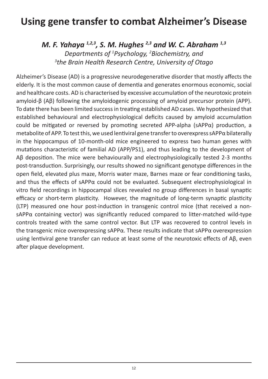### **Using gene transfer to combat Alzheimer's Disease**

*M. F. Yahaya 1,2,3, S. M. Hughes 2,3 and W. C. Abraham 1,3 Departments of 1 Psychology, 2 Biochemistry, and 3 the Brain Health Research Centre, University of Otago*

Alzheimer's Disease (AD) is a progressive neurodegenerative disorder that mostly affects the elderly. It is the most common cause of dementia and generates enormous economic, social and healthcare costs. AD is characterised by excessive accumulation of the neurotoxic protein amyloid-β (Aβ) following the amyloidogenic processing of amyloid precursor protein (APP). To date there has been limited success in treating established AD cases. We hypothesized that established behavioural and electrophysiological deficits caused by amyloid accumulation could be mitigated or reversed by promoting secreted APP-alpha (sAPP $\alpha$ ) production, a metabolite of APP. To test this, we used lentiviral gene transfer to overexpress sAPP $\alpha$  bilaterally in the hippocampus of 10-month-old mice engineered to express two human genes with mutations characteristic of familial AD (APP/PS1), and thus leading to the development of Aβ deposition. The mice were behaviourally and electrophysiologically tested 2-3 months post-transduction. Surprisingly, our results showed no significant genotype differences in the open field, elevated plus maze, Morris water maze, Barnes maze or fear conditioning tasks, and thus the effects of sAPP $\alpha$  could not be evaluated. Subsequent electrophysiological in vitro field recordings in hippocampal slices revealed no group differences in basal synaptic efficacy or short-term plasticity. However, the magnitude of long-term synaptic plasticity (LTP) measured one hour post-induction in transgenic control mice (that received a non $sAPP\alpha$  containing vector) was significantly reduced compared to litter-matched wild-type controls treated with the same control vector. But LTP was recovered to control levels in the transgenic mice overexpressing sAPPα. These results indicate that sAPPα overexpression using lentiviral gene transfer can reduce at least some of the neurotoxic effects of Aβ, even after plaque development.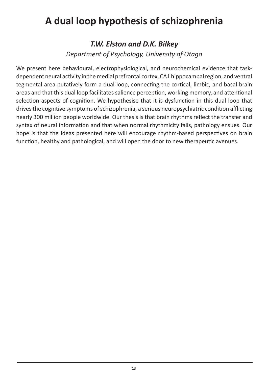### **A dual loop hypothesis of schizophrenia**

#### *T.W. Elston and D.K. Bilkey*

*Department of Psychology, University of Otago*

We present here behavioural, electrophysiological, and neurochemical evidence that taskdependent neural activity in the medial prefrontal cortex, CA1 hippocampal region, and ventral tegmental area putatively form a dual loop, connecting the cortical, limbic, and basal brain areas and that this dual loop facilitates salience perception, working memory, and attentional selection aspects of cognition. We hypothesise that it is dysfunction in this dual loop that drives the cognitive symptoms of schizophrenia, a serious neuropsychiatric condition afflicting nearly 300 million people worldwide. Our thesis is that brain rhythms reflect the transfer and syntax of neural information and that when normal rhythmicity fails, pathology ensues. Our hope is that the ideas presented here will encourage rhythm-based perspectives on brain function, healthy and pathological, and will open the door to new therapeutic avenues.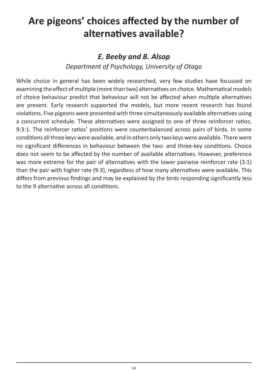## Are pigeons' choices affected by the number of **alternaƟ ves available?**

#### *E. Beeby and B. Alsop*

*Department of Psychology, University of Otago*

While choice in general has been widely researched, very few studies have focussed on examining the effect of multiple (more than two) alternatives on choice. Mathematical models of choice behaviour predict that behaviour will not be affected when multiple alternatives are present. Early research supported the models, but more recent research has found violations. Five pigeons were presented with three simultaneously available alternatives using a concurrent schedule. These alternatives were assigned to one of three reinforcer ratios, 9:3:1. The reinforcer ratios' positions were counterbalanced across pairs of birds. In some conditions all three keys were available, and in others only two keys were available. There were no significant differences in behaviour between the two- and three-key conditions. Choice does not seem to be affected by the number of available alternatives. However, preference was more extreme for the pair of alternatives with the lower pairwise reinforcer rate (3:1) than the pair with higher rate (9:3), regardless of how many alternatives were available. This differs from previous findings and may be explained by the birds responding significantly less to the 9 alternative across all conditions.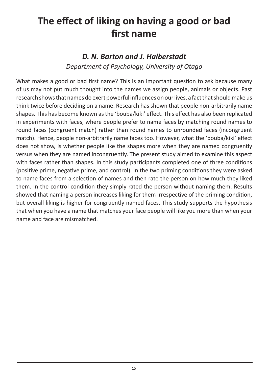# The effect of liking on having a good or bad **first name**

### *D. N. Barton and J. Halberstadt*

*Department of Psychology, University of Otago*

What makes a good or bad first name? This is an important question to ask because many of us may not put much thought into the names we assign people, animals or objects. Past research shows that names do exert powerful influences on our lives, a fact that should make us think twice before deciding on a name. Research has shown that people non-arbitrarily name shapes. This has become known as the 'bouba/kiki' effect. This effect has also been replicated in experiments with faces, where people prefer to name faces by matching round names to round faces (congruent match) rather than round names to unrounded faces (incongruent match). Hence, people non-arbitrarily name faces too. However, what the 'bouba/kiki' effect does not show, is whether people like the shapes more when they are named congruently versus when they are named incongruently. The present study aimed to examine this aspect with faces rather than shapes. In this study participants completed one of three conditions (positive prime, negative prime, and control). In the two priming conditions they were asked to name faces from a selection of names and then rate the person on how much they liked them. In the control condition they simply rated the person without naming them. Results showed that naming a person increases liking for them irrespective of the priming condition, but overall liking is higher for congruently named faces. This study supports the hypothesis that when you have a name that matches your face people will like you more than when your name and face are mismatched.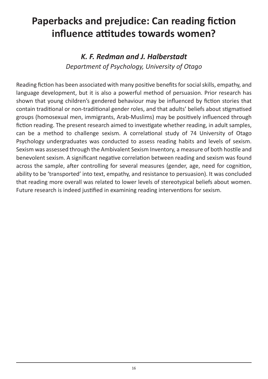### **Paperbacks and prejudice: Can reading fiction influence attitudes towards women?**

### *K. F. Redman and J. Halberstadt Department of Psychology, University of Otago*

Reading fiction has been associated with many positive benefits for social skills, empathy, and language development, but it is also a powerful method of persuasion. Prior research has shown that young children's gendered behaviour may be influenced by fiction stories that contain traditional or non-traditional gender roles, and that adults' beliefs about stigmatised groups (homosexual men, immigrants, Arab-Muslims) may be positively influenced through fiction reading. The present research aimed to investigate whether reading, in adult samples, can be a method to challenge sexism. A correlational study of 74 University of Otago Psychology undergraduates was conducted to assess reading habits and levels of sexism. Sexism was assessed through the Ambivalent Sexism Inventory, a measure of both hostile and benevolent sexism. A significant negative correlation between reading and sexism was found across the sample, after controlling for several measures (gender, age, need for cognition, ability to be 'transported' into text, empathy, and resistance to persuasion). It was concluded that reading more overall was related to lower levels of stereotypical beliefs about women. Future research is indeed justified in examining reading interventions for sexism.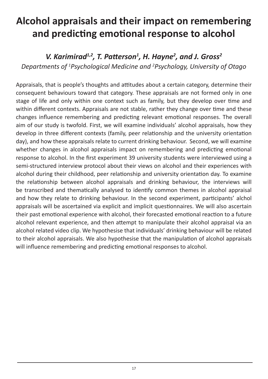# **Alcohol appraisals and their impact on remembering and predicƟ ng emoƟ onal response to alcohol**

#### *V. Karimirad<sup>1,2</sup>, T. Patterson<sup>1</sup>, H. Hayne<sup>2</sup>, and J. Gross<sup>2</sup>*

*Departments of 1 Psychological Medicine and 2 Psychology, University of Otago*

Appraisals, that is people's thoughts and attitudes about a certain category, determine their consequent behaviours toward that category. These appraisals are not formed only in one stage of life and only within one context such as family, but they develop over time and within different contexts. Appraisals are not stable, rather they change over time and these changes influence remembering and predicting relevant emotional responses. The overall aim of our study is twofold. First, we will examine individuals' alcohol appraisals, how they develop in three different contexts (family, peer relationship and the university orientation day), and how these appraisals relate to current drinking behaviour. Second, we will examine whether changes in alcohol appraisals impact on remembering and predicting emotional response to alcohol. In the first experiment 39 university students were interviewed using a semi-structured interview protocol about their views on alcohol and their experiences with alcohol during their childhood, peer relationship and university orientation day. To examine the relationship between alcohol appraisals and drinking behaviour, the interviews will be transcribed and thematically analysed to identify common themes in alcohol appraisal and how they relate to drinking behaviour. In the second experiment, participants' alchol appraisals will be ascertained via explicit and implicit questionnaires. We will also ascertain their past emotional experience with alcohol, their forecasted emotional reaction to a future alcohol relevant experience, and then attempt to manipulate their alcohol appraisal via an alcohol related video clip. We hypothesise that individuals' drinking behaviour will be related to their alcohol appraisals. We also hypothesise that the manipulation of alcohol appraisals will influence remembering and predicting emotional responses to alcohol.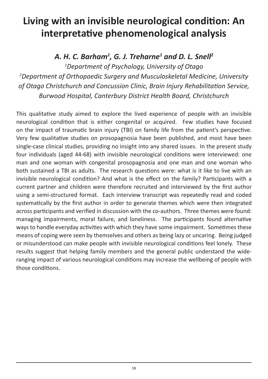## Living with an invisible neurological condition: An **interpretaƟ ve phenomenological analysis**

### *A. H. C. Barham1 , G. J. Treharne1 and D. L. Snell2*

*1 Department of Psychology, University of Otago 2 Department of Orthopaedic Surgery and Musculoskeletal Medicine, University of Otago Christchurch and Concussion Clinic, Brain Injury Rehabilitation Service, Burwood Hospital, Canterbury District Health Board, Christchurch*

This qualitative study aimed to explore the lived experience of people with an invisible neurological condition that is either congenital or acquired. Few studies have focused on the impact of traumatic brain injury (TBI) on family life from the patient's perspective. Very few qualitative studies on prosopagnosia have been published, and most have been single-case clinical studies, providing no insight into any shared issues. In the present study four individuals (aged 44-68) with invisible neurological conditions were interviewed: one man and one woman with congenital prosopagnosia and one man and one woman who both sustained a TBI as adults. The research questions were: what is it like to live with an invisible neurological condition? And what is the effect on the family? Participants with a current partner and children were therefore recruited and interviewed by the first author using a semi-structured format. Each interview transcript was repeatedly read and coded systematically by the first author in order to generate themes which were then integrated across participants and verified in discussion with the co-authors. Three themes were found: managing impairments, moral failure, and loneliness. The participants found alternative ways to handle everyday activities with which they have some impairment. Sometimes these means of coping were seen by themselves and others as being lazy or uncaring. Being judged or misunderstood can make people with invisible neurological conditions feel lonely. These results suggest that helping family members and the general public understand the wideranging impact of various neurological conditions may increase the wellbeing of people with those conditions.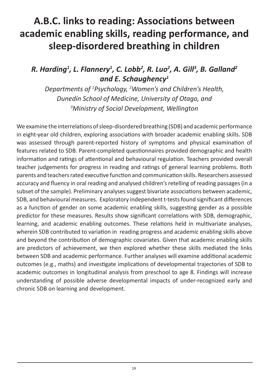# A.B.C. links to reading: Associations between **academic enabling skills, reading performance, and sleep-disordered breathing in children**

### *R. Harding1 , L. Flannery1 , C. Lobb2 , R. Luo2 , A. Gill3 , B. Galland2 and E. Schaughency1*

*Departments of 1 Psychology, 2 Women's and Children's Health, Dunedin School of Medicine, University of Otago, and 3 Ministry of Social Development, Wellington*

We examine the interrelations of sleep-disordered breathing (SDB) and academic performance in eight-year old children, exploring associations with broader academic enabling skills. SDB was assessed through parent-reported history of symptoms and physical examination of features related to SDB. Parent-completed questionnaires provided demographic and health information and ratings of attentional and behavioural regulation. Teachers provided overall teacher judgements for progress in reading and ratings of general learning problems. Both parents and teachers rated executive function and communication skills. Researchers assessed accuracy and fluency in oral reading and analysed children's retelling of reading passages (in a subset of the sample). Preliminary analyses suggest bivariate associations between academic, SDB, and behavioural measures. Exploratory independent t-tests found significant differences as a function of gender on some academic enabling skills, suggesting gender as a possible predictor for these measures. Results show significant correlations with SDB, demographic, learning, and academic enabling outcomes. These relations held in multivariate analyses, wherein SDB contributed to variation in reading progress and academic enabling skills above and beyond the contribution of demographic covariates. Given that academic enabling skills are predictors of achievement, we then explored whether these skills mediated the links between SDB and academic performance. Further analyses will examine additional academic outcomes (e.g., maths) and investigate implications of developmental trajectories of SDB to academic outcomes in longitudinal analysis from preschool to age 8. Findings will increase understanding of possible adverse developmental impacts of under-recognized early and chronic SDB on learning and development.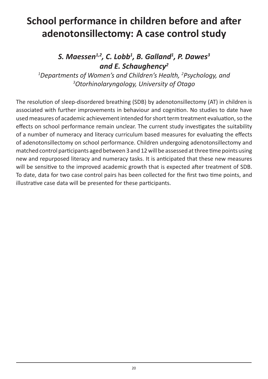# **School performance in children before and after adenotonsillectomy: A case control study**

#### *S. Maessen1,2, C. Lobb1 , B. Galland1 , P. Dawes3 and E. Schaughency2*

*1 Departments of Women's and Children's Health, 2 Psychology, and 3 Otorhinolaryngology, University of Otago*

The resolution of sleep-disordered breathing (SDB) by adenotonsillectomy (AT) in children is associated with further improvements in behaviour and cognition. No studies to date have used measures of academic achievement intended for short term treatment evaluation, so the effects on school performance remain unclear. The current study investigates the suitability of a number of numeracy and literacy curriculum based measures for evaluating the effects of adenotonsillectomy on school performance. Children undergoing adenotonsillectomy and matched control participants aged between 3 and 12 will be assessed at three time points using new and repurposed literacy and numeracy tasks. It is anticipated that these new measures will be sensitive to the improved academic growth that is expected after treatment of SDB. To date, data for two case control pairs has been collected for the first two time points, and illustrative case data will be presented for these participants.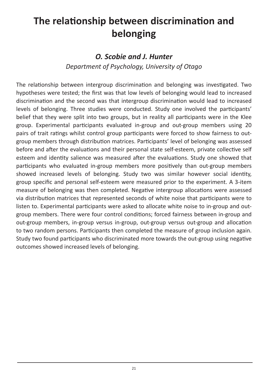# **The relationship between discrimination and belonging**

#### *O. Scobie and J. Hunter*

*Department of Psychology, University of Otago*

The relationship between intergroup discrimination and belonging was investigated. Two hypotheses were tested; the first was that low levels of belonging would lead to increased discrimination and the second was that intergroup discrimination would lead to increased levels of belonging. Three studies were conducted. Study one involved the participants' belief that they were split into two groups, but in reality all participants were in the Klee group. Experimental participants evaluated in-group and out-group members using 20 pairs of trait ratings whilst control group participants were forced to show fairness to outgroup members through distribution matrices. Participants' level of belonging was assessed before and after the evaluations and their personal state self-esteem, private collective self esteem and identity salience was measured after the evaluations. Study one showed that participants who evaluated in-group members more positively than out-group members showed increased levels of belonging. Study two was similar however social identity, group specific and personal self-esteem were measured prior to the experiment. A 3-item measure of belonging was then completed. Negative intergroup allocations were assessed via distribution matrices that represented seconds of white noise that participants were to listen to. Experimental participants were asked to allocate white noise to in-group and outgroup members. There were four control conditions; forced fairness between in-group and out-group members, in-group versus in-group, out-group versus out-group and allocation to two random persons. Participants then completed the measure of group inclusion again. Study two found participants who discriminated more towards the out-group using negative outcomes showed increased levels of belonging.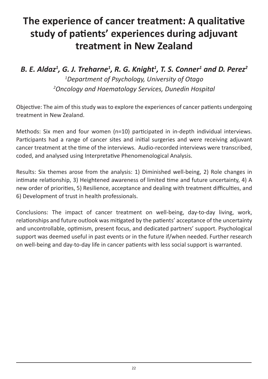# **The experience of cancer treatment: A qualitative** study of patients' experiences during adjuvant **treatment in New Zealand**

### *B. E. Aldaz1 , G. J. Treharne1 , R. G. Knight1 , T. S. Conner1 and D. Perez2 1 Department of Psychology, University of Otago 2 Oncology and Haematology Services, Dunedin Hospital*

Objective: The aim of this study was to explore the experiences of cancer patients undergoing treatment in New Zealand.

Methods: Six men and four women (n=10) participated in in-depth individual interviews. Participants had a range of cancer sites and initial surgeries and were receiving adjuvant cancer treatment at the time of the interviews. Audio-recorded interviews were transcribed. coded, and analysed using Interpretative Phenomenological Analysis.

Results: Six themes arose from the analysis: 1) Diminished well-being, 2) Role changes in intimate relationship, 3) Heightened awareness of limited time and future uncertainty, 4) A new order of priorities, 5) Resilience, acceptance and dealing with treatment difficulties, and 6) Development of trust in health professionals.

Conclusions: The impact of cancer treatment on well-being, day-to-day living, work, relationships and future outlook was mitigated by the patients' acceptance of the uncertainty and uncontrollable, optimism, present focus, and dedicated partners' support. Psychological support was deemed useful in past events or in the future if/when needed. Further research on well-being and day-to-day life in cancer patients with less social support is warranted.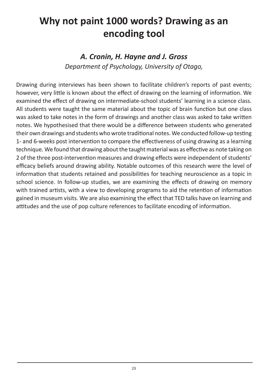### **Why not paint 1000 words? Drawing as an encoding tool**

#### *A. Cronin, H. Hayne and J. Gross*

*Department of Psychology, University of Otago,* 

Drawing during interviews has been shown to facilitate children's reports of past events; however, very little is known about the effect of drawing on the learning of information. We examined the effect of drawing on intermediate-school students' learning in a science class. All students were taught the same material about the topic of brain function but one class was asked to take notes in the form of drawings and another class was asked to take written notes. We hypothesised that there would be a difference between students who generated their own drawings and students who wrote traditional notes. We conducted follow-up testing 1- and 6-weeks post intervention to compare the effectiveness of using drawing as a learning technique. We found that drawing about the taught material was as effective as note taking on 2 of the three post-intervention measures and drawing effects were independent of students' efficacy beliefs around drawing ability. Notable outcomes of this research were the level of information that students retained and possibilities for teaching neuroscience as a topic in school science. In follow-up studies, we are examining the effects of drawing on memory with trained artists, with a view to developing programs to aid the retention of information gained in museum visits. We are also examining the effect that TED talks have on learning and attitudes and the use of pop culture references to facilitate encoding of information.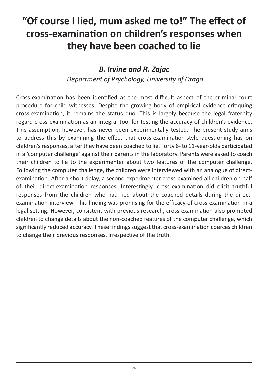# "Of course I lied, mum asked me to!" The effect of **cross-examinaƟ on on children's responses when they have been coached to lie**

#### *B. Irvine and R. Zajac*

*Department of Psychology, University of Otago*

Cross-examination has been identified as the most difficult aspect of the criminal court procedure for child witnesses. Despite the growing body of empirical evidence critiquing cross-examination, it remains the status quo. This is largely because the legal fraternity regard cross-examination as an integral tool for testing the accuracy of children's evidence. This assumption, however, has never been experimentally tested. The present study aims to address this by examining the effect that cross-examination-style questioning has on children's responses, after they have been coached to lie. Forty 6- to 11-year-olds participated in a 'computer challenge' against their parents in the laboratory. Parents were asked to coach their children to lie to the experimenter about two features of the computer challenge. Following the computer challenge, the children were interviewed with an analogue of directexamination. After a short delay, a second experimenter cross-examined all children on half of their direct-examination responses. Interestingly, cross-examination did elicit truthful responses from the children who had lied about the coached details during the directexamination interview. This finding was promising for the efficacy of cross-examination in a legal setting. However, consistent with previous research, cross-examination also prompted children to change details about the non-coached features of the computer challenge, which significantly reduced accuracy. These findings suggest that cross-examination coerces children to change their previous responses, irrespective of the truth.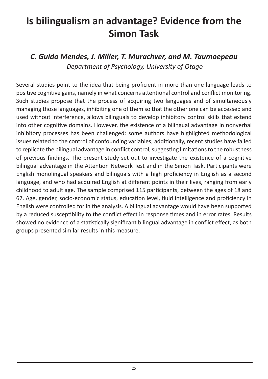### **Is bilingualism an advantage? Evidence from the Simon Task**

*C. Guido Mendes, J. Miller, T. Murachver, and M. Taumoepeau Department of Psychology, University of Otago*

Several studies point to the idea that being proficient in more than one language leads to positive cognitive gains, namely in what concerns attentional control and conflict monitoring. Such studies propose that the process of acquiring two languages and of simultaneously managing those languages, inhibiting one of them so that the other one can be accessed and used without interference, allows bilinguals to develop inhibitory control skills that extend into other cognitive domains. However, the existence of a bilingual advantage in nonverbal inhibitory processes has been challenged: some authors have highlighted methodological issues related to the control of confounding variables; additionally, recent studies have failed to replicate the bilingual advantage in conflict control, suggesting limitations to the robustness of previous findings. The present study set out to investigate the existence of a cognitive bilingual advantage in the Attention Network Test and in the Simon Task. Participants were English monolingual speakers and bilinguals with a high proficiency in English as a second language, and who had acquired English at different points in their lives, ranging from early childhood to adult age. The sample comprised 115 participants, between the ages of 18 and 67. Age, gender, socio-economic status, education level, fluid intelligence and proficiency in English were controlled for in the analysis. A bilingual advantage would have been supported by a reduced susceptibility to the conflict effect in response times and in error rates. Results showed no evidence of a statistically significant bilingual advantage in conflict effect, as both groups presented similar results in this measure.